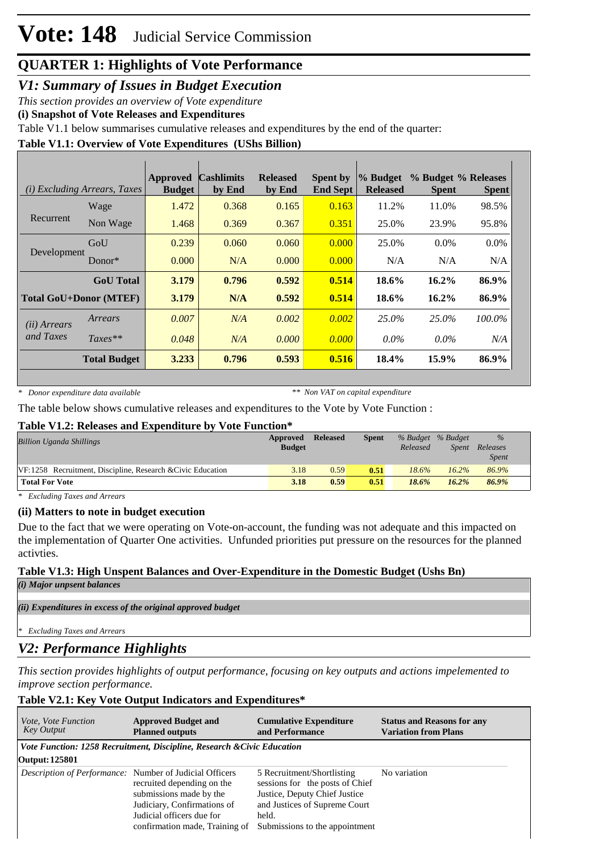*V1: Summary of Issues in Budget Execution*

*This section provides an overview of Vote expenditure* 

**(i) Snapshot of Vote Releases and Expenditures**

Table V1.1 below summarises cumulative releases and expenditures by the end of the quarter:

#### **Table V1.1: Overview of Vote Expenditures (UShs Billion)**

|                               | <i>(i)</i> Excluding Arrears, Taxes | <b>Approved</b><br><b>Budget</b> | <b>Cashlimits</b><br>by End | <b>Released</b><br>by End | <b>Spent by</b><br><b>End Sept</b> | $\%$ Budget<br><b>Released</b> | % Budget % Releases<br><b>Spent</b> | <b>Spent</b> |
|-------------------------------|-------------------------------------|----------------------------------|-----------------------------|---------------------------|------------------------------------|--------------------------------|-------------------------------------|--------------|
|                               | Wage                                | 1.472                            | 0.368                       | 0.165                     | 0.163                              | 11.2%                          | 11.0%                               | 98.5%        |
| Recurrent                     | Non Wage                            | 1.468                            | 0.369                       | 0.367                     | 0.351                              | 25.0%                          | 23.9%                               | 95.8%        |
| Development                   | GoU                                 | 0.239                            | 0.060                       | 0.060                     | 0.000                              | 25.0%                          | $0.0\%$                             | $0.0\%$      |
|                               | $Donor*$                            | 0.000                            | N/A                         | 0.000                     | 0.000                              | N/A                            | N/A                                 | N/A          |
|                               | <b>GoU</b> Total                    | 3.179                            | 0.796                       | 0.592                     | 0.514                              | 18.6%                          | $16.2\%$                            | 86.9%        |
| <b>Total GoU+Donor (MTEF)</b> |                                     | 3.179                            | N/A                         | 0.592                     | 0.514                              | 18.6%                          | 16.2%                               | 86.9%        |
| ( <i>ii</i> ) Arrears         | Arrears                             | 0.007                            | N/A                         | 0.002                     | 0.002                              | 25.0%                          | 25.0%                               | 100.0%       |
| and Taxes                     | $Taxes**$                           | 0.048                            | N/A                         | 0.000                     | 0.000                              | $0.0\%$                        | $0.0\%$                             | N/A          |
|                               | <b>Total Budget</b>                 | 3.233                            | 0.796                       | 0.593                     | 0.516                              | 18.4%                          | $15.9\%$                            | 86.9%        |

*\* Donor expenditure data available*

*\*\* Non VAT on capital expenditure*

The table below shows cumulative releases and expenditures to the Vote by Vote Function :

#### **Table V1.2: Releases and Expenditure by Vote Function\***

| <b>Billion Uganda Shillings</b>                             | Approved<br><b>Budget</b> | <b>Released</b> | <b>Spent</b> | Released | % Budget % Budget<br>Spent | $\%$<br>Releases<br><i>Spent</i> |
|-------------------------------------------------------------|---------------------------|-----------------|--------------|----------|----------------------------|----------------------------------|
| VF:1258 Recruitment, Discipline, Research & Civic Education | 3.18                      | 0.59            | 0.51         | 18.6%    | 16.2%                      | 86.9%                            |
| <b>Total For Vote</b>                                       | 3.18                      | 0.59            | 0.51         | 18.6%    | 16.2%                      | 86.9%                            |

*\* Excluding Taxes and Arrears*

#### **(ii) Matters to note in budget execution**

Due to the fact that we were operating on Vote-on-account, the funding was not adequate and this impacted on the implementation of Quarter One activities. Unfunded priorities put pressure on the resources for the planned activties.

# **Table V1.3: High Unspent Balances and Over-Expenditure in the Domestic Budget (Ushs Bn)**

*(i) Major unpsent balances*

*(ii) Expenditures in excess of the original approved budget*

*\* Excluding Taxes and Arrears*

### *V2: Performance Highlights*

*This section provides highlights of output performance, focusing on key outputs and actions impelemented to improve section performance.*

#### **Table V2.1: Key Vote Output Indicators and Expenditures\***

| <i>Vote, Vote Function</i><br><b>Key Output</b>                | <b>Approved Budget and</b><br><b>Planned outputs</b>                                                                                                | <b>Cumulative Expenditure</b><br>and Performance                                                                                                                           | <b>Status and Reasons for any</b><br><b>Variation from Plans</b> |
|----------------------------------------------------------------|-----------------------------------------------------------------------------------------------------------------------------------------------------|----------------------------------------------------------------------------------------------------------------------------------------------------------------------------|------------------------------------------------------------------|
|                                                                | Vote Function: 1258 Recruitment, Discipline, Research & Civic Education                                                                             |                                                                                                                                                                            |                                                                  |
| Output: 125801                                                 |                                                                                                                                                     |                                                                                                                                                                            |                                                                  |
| <i>Description of Performance:</i> Number of Judicial Officers | recruited depending on the<br>submissions made by the<br>Judiciary, Confirmations of<br>Judicial officers due for<br>confirmation made, Training of | 5 Recruitment/Shortlisting<br>sessions for the posts of Chief<br>Justice, Deputy Chief Justice<br>and Justices of Supreme Court<br>held.<br>Submissions to the appointment | No variation                                                     |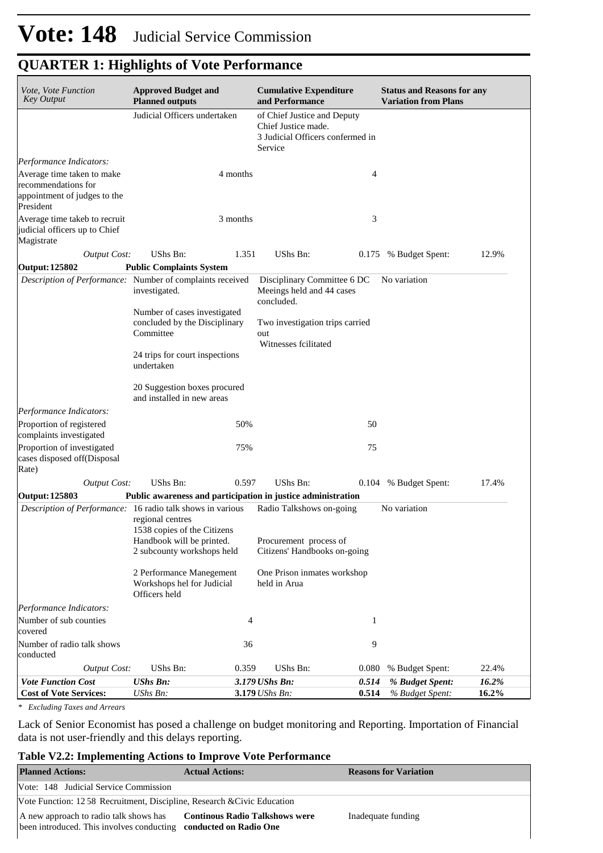| Vote, Vote Function<br><b>Key Output</b>                                                       | <b>Approved Budget and</b><br><b>Planned outputs</b>                       |          | <b>Cumulative Expenditure</b><br>and Performance                                                  | <b>Status and Reasons for any</b><br><b>Variation from Plans</b> |       |  |  |
|------------------------------------------------------------------------------------------------|----------------------------------------------------------------------------|----------|---------------------------------------------------------------------------------------------------|------------------------------------------------------------------|-------|--|--|
|                                                                                                | Judicial Officers undertaken                                               |          | of Chief Justice and Deputy<br>Chief Justice made.<br>3 Judicial Officers confermed in<br>Service |                                                                  |       |  |  |
| Performance Indicators:                                                                        |                                                                            |          |                                                                                                   |                                                                  |       |  |  |
| Average time taken to make<br>recommendations for<br>appointment of judges to the<br>President |                                                                            | 4 months |                                                                                                   | 4                                                                |       |  |  |
| Average time takeb to recruit<br>judicial officers up to Chief<br>Magistrate                   |                                                                            | 3 months |                                                                                                   | 3                                                                |       |  |  |
| <b>Output Cost:</b>                                                                            | UShs Bn:                                                                   | 1.351    | <b>UShs Bn:</b>                                                                                   | 0.175 % Budget Spent:                                            | 12.9% |  |  |
| <b>Output: 125802</b>                                                                          | <b>Public Complaints System</b>                                            |          |                                                                                                   |                                                                  |       |  |  |
|                                                                                                | Description of Performance: Number of complaints received<br>investigated. |          | Disciplinary Committee 6 DC<br>Meeings held and 44 cases<br>concluded.                            | No variation                                                     |       |  |  |
|                                                                                                | Number of cases investigated<br>concluded by the Disciplinary<br>Committee |          | Two investigation trips carried<br>out<br>Witnesses fcilitated                                    |                                                                  |       |  |  |
|                                                                                                | 24 trips for court inspections<br>undertaken                               |          |                                                                                                   |                                                                  |       |  |  |
|                                                                                                | 20 Suggestion boxes procured<br>and installed in new areas                 |          |                                                                                                   |                                                                  |       |  |  |
| Performance Indicators:                                                                        |                                                                            |          |                                                                                                   |                                                                  |       |  |  |
| Proportion of registered<br>complaints investigated                                            |                                                                            | 50%      |                                                                                                   | 50                                                               |       |  |  |
| Proportion of investigated<br>cases disposed off(Disposal<br>Rate)                             |                                                                            | 75%      | 75                                                                                                |                                                                  |       |  |  |
| <b>Output Cost:</b>                                                                            | UShs Bn:                                                                   | 0.597    | UShs Bn:                                                                                          | 0.104 % Budget Spent:                                            | 17.4% |  |  |
| Output: 125803                                                                                 |                                                                            |          | Public awareness and participation in justice administration                                      |                                                                  |       |  |  |
| Description of Performance: 16 radio talk shows in various                                     | regional centres<br>1538 copies of the Citizens                            |          | Radio Talkshows on-going                                                                          | No variation                                                     |       |  |  |
|                                                                                                | Handbook will be printed.<br>2 subcounty workshops held                    |          | Procurement process of<br>Citizens' Handbooks on-going                                            |                                                                  |       |  |  |
|                                                                                                | 2 Performance Manegement<br>Workshops hel for Judicial<br>Officers held    |          | One Prison inmates workshop<br>held in Arua                                                       |                                                                  |       |  |  |
| Performance Indicators:                                                                        |                                                                            |          |                                                                                                   |                                                                  |       |  |  |
| Number of sub counties<br>covered                                                              |                                                                            | 4        |                                                                                                   | 1                                                                |       |  |  |
| Number of radio talk shows<br>conducted                                                        |                                                                            | 36       |                                                                                                   | 9                                                                |       |  |  |
| <b>Output Cost:</b>                                                                            | UShs Bn:                                                                   | 0.359    | UShs Bn:<br>0.080                                                                                 | % Budget Spent:                                                  | 22.4% |  |  |
| <b>Vote Function Cost</b>                                                                      | <b>UShs Bn:</b>                                                            |          | 3.179 UShs Bn:<br>0.514                                                                           | % Budget Spent:                                                  | 16.2% |  |  |
| <b>Cost of Vote Services:</b>                                                                  | UShs Bn:                                                                   |          | 3.179 UShs Bn:<br>0.514                                                                           | % Budget Spent:                                                  | 16.2% |  |  |

*\* Excluding Taxes and Arrears*

Lack of Senior Economist has posed a challenge on budget monitoring and Reporting. Importation of Financial data is not user-friendly and this delays reporting.

#### **Table V2.2: Implementing Actions to Improve Vote Performance**

| <b>Planned Actions:</b>                                                                                    | <b>Actual Actions:</b>                | <b>Reasons for Variation</b> |  |  |  |
|------------------------------------------------------------------------------------------------------------|---------------------------------------|------------------------------|--|--|--|
| Vote: 148 Judicial Service Commission                                                                      |                                       |                              |  |  |  |
| Vote Function: 12.58 Recruitment, Discipline, Research & Civic Education                                   |                                       |                              |  |  |  |
| A new approach to radio talk shows has<br>been introduced. This involves conducting conducted on Radio One | <b>Continous Radio Talkshows were</b> | Inadequate funding           |  |  |  |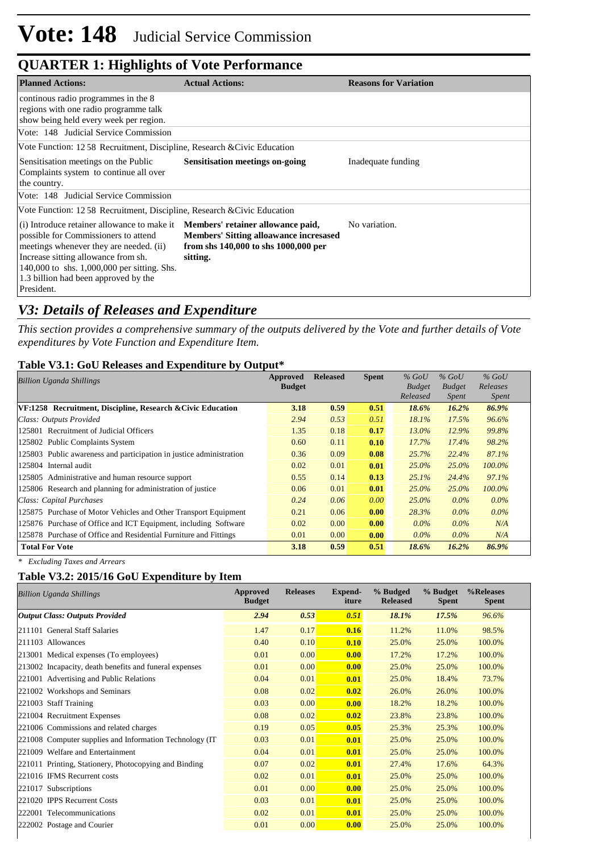| <b>Planned Actions:</b>                                                                                                                                                                                                                                                                                             | <b>Actual Actions:</b>                                                                            | <b>Reasons for Variation</b> |  |  |  |  |
|---------------------------------------------------------------------------------------------------------------------------------------------------------------------------------------------------------------------------------------------------------------------------------------------------------------------|---------------------------------------------------------------------------------------------------|------------------------------|--|--|--|--|
| continous radio programmes in the 8<br>regions with one radio programme talk<br>show being held every week per region.                                                                                                                                                                                              |                                                                                                   |                              |  |  |  |  |
| Vote: 148 Judicial Service Commission                                                                                                                                                                                                                                                                               |                                                                                                   |                              |  |  |  |  |
| Vote Function: 12.58 Recruitment, Discipline, Research & Civic Education                                                                                                                                                                                                                                            |                                                                                                   |                              |  |  |  |  |
| Sensitisation meetings on the Public<br>Complaints system to continue all over<br>the country.                                                                                                                                                                                                                      | <b>Sensitisation meetings on-going</b>                                                            | Inadequate funding           |  |  |  |  |
| Vote: 148 Judicial Service Commission                                                                                                                                                                                                                                                                               |                                                                                                   |                              |  |  |  |  |
| Vote Function: 12.58 Recruitment, Discipline, Research & Civic Education                                                                                                                                                                                                                                            |                                                                                                   |                              |  |  |  |  |
| (i) Introduce retainer allowance to make it <b>Members' retainer allowance paid,</b><br>possible for Commissioners to attend<br>meetings whenever they are needed. (ii)<br>Increase sitting allowance from sh.<br>140,000 to shs. 1,000,000 per sitting. Shs.<br>1.3 billion had been approved by the<br>President. | <b>Members' Sitting alloawance incresased</b><br>from shs 140,000 to shs 1000,000 per<br>sitting. | No variation.                |  |  |  |  |

### *V3: Details of Releases and Expenditure*

*This section provides a comprehensive summary of the outputs delivered by the Vote and further details of Vote expenditures by Vote Function and Expenditure Item.*

#### **Table V3.1: GoU Releases and Expenditure by Output\***

| Billion Uganda Shillings                                            | Approved      | <b>Released</b> | <b>Spent</b> | $%$ GoU       | $%$ GoU       | $%$ GoU      |  |
|---------------------------------------------------------------------|---------------|-----------------|--------------|---------------|---------------|--------------|--|
|                                                                     | <b>Budget</b> |                 |              | <b>Budget</b> | <b>Budget</b> | Releases     |  |
|                                                                     |               |                 |              | Released      | <i>Spent</i>  | <i>Spent</i> |  |
| VF:1258 Recruitment, Discipline, Research & Civic Education         | 3.18          | 0.59            | 0.51         | 18.6%         | 16.2%         | 86.9%        |  |
| Class: Outputs Provided                                             | 2.94          | 0.53            | 0.51         | 18.1%         | 17.5%         | 96.6%        |  |
| 125801 Recruitment of Judicial Officers                             | 1.35          | 0.18            | 0.17         | $13.0\%$      | 12.9%         | 99.8%        |  |
| 125802 Public Complaints System                                     | 0.60          | 0.11            | 0.10         | $17.7\%$      | $17.4\%$      | 98.2%        |  |
| 125803 Public awareness and participation in justice administration | 0.36          | 0.09            | 0.08         | 25.7%         | 22.4%         | 87.1%        |  |
| 125804 Internal audit                                               | 0.02          | 0.01            | 0.01         | $25.0\%$      | $25.0\%$      | $100.0\%$    |  |
| 125805 Administrative and human resource support                    | 0.55          | 0.14            | 0.13         | $25.1\%$      | 24.4%         | 97.1%        |  |
| 125806 Research and planning for administration of justice          | 0.06          | 0.01            | 0.01         | $25.0\%$      | $25.0\%$      | $100.0\%$    |  |
| Class: Capital Purchases                                            | 0.24          | 0.06            | 0.00         | $25.0\%$      | $0.0\%$       | $0.0\%$      |  |
| 125875 Purchase of Motor Vehicles and Other Transport Equipment     | 0.21          | 0.06            | 0.00         | 28.3%         | $0.0\%$       | $0.0\%$      |  |
| 125876 Purchase of Office and ICT Equipment, including Software     | 0.02          | 0.00            | 0.00         | $0.0\%$       | $0.0\%$       | N/A          |  |
| 125878 Purchase of Office and Residential Furniture and Fittings    | 0.01          | 0.00            | 0.00         | $0.0\%$       | $0.0\%$       | N/A          |  |
| <b>Total For Vote</b>                                               | 3.18          | 0.59            | 0.51         | 18.6%         | 16.2%         | 86.9%        |  |

*\* Excluding Taxes and Arrears*

#### **Table V3.2: 2015/16 GoU Expenditure by Item**

| <b>Billion Uganda Shillings</b>                          | Approved<br><b>Budget</b> | <b>Releases</b> | <b>Expend-</b><br>iture | % Budged<br><b>Released</b> | % Budget<br><b>Spent</b> | %Releases<br><b>Spent</b> |
|----------------------------------------------------------|---------------------------|-----------------|-------------------------|-----------------------------|--------------------------|---------------------------|
| <b>Output Class: Outputs Provided</b>                    | 2.94                      | 0.53            | 0.51                    | 18.1%                       | 17.5%                    | 96.6%                     |
| 211101 General Staff Salaries                            | 1.47                      | 0.17            | 0.16                    | 11.2%                       | 11.0%                    | 98.5%                     |
| 211103 Allowances                                        | 0.40                      | 0.10            | 0.10                    | 25.0%                       | 25.0%                    | 100.0%                    |
| 213001 Medical expenses (To employees)                   | 0.01                      | 0.00            | 0.00                    | 17.2%                       | 17.2%                    | 100.0%                    |
| 213002 Incapacity, death benefits and funeral expenses   | 0.01                      | 0.00            | 0.00                    | 25.0%                       | 25.0%                    | 100.0%                    |
| 221001 Advertising and Public Relations                  | 0.04                      | 0.01            | 0.01                    | 25.0%                       | 18.4%                    | 73.7%                     |
| 221002 Workshops and Seminars                            | 0.08                      | 0.02            | 0.02                    | 26.0%                       | 26.0%                    | 100.0%                    |
| 221003 Staff Training                                    | 0.03                      | 0.00            | 0.00                    | 18.2%                       | 18.2%                    | 100.0%                    |
| 221004 Recruitment Expenses                              | 0.08                      | 0.02            | 0.02                    | 23.8%                       | 23.8%                    | 100.0%                    |
| 221006 Commissions and related charges                   | 0.19                      | 0.05            | 0.05                    | 25.3%                       | 25.3%                    | 100.0%                    |
| 221008 Computer supplies and Information Technology (IT) | 0.03                      | 0.01            | 0.01                    | 25.0%                       | 25.0%                    | 100.0%                    |
| 221009 Welfare and Entertainment                         | 0.04                      | 0.01            | 0.01                    | 25.0%                       | 25.0%                    | 100.0%                    |
| 221011 Printing, Stationery, Photocopying and Binding    | 0.07                      | 0.02            | 0.01                    | 27.4%                       | 17.6%                    | 64.3%                     |
| 221016 IFMS Recurrent costs                              | 0.02                      | 0.01            | 0.01                    | 25.0%                       | 25.0%                    | 100.0%                    |
| 221017 Subscriptions                                     | 0.01                      | 0.00            | 0.00                    | 25.0%                       | 25.0%                    | 100.0%                    |
| 221020 IPPS Recurrent Costs                              | 0.03                      | 0.01            | 0.01                    | 25.0%                       | 25.0%                    | 100.0%                    |
| 222001 Telecommunications                                | 0.02                      | 0.01            | 0.01                    | 25.0%                       | 25.0%                    | 100.0%                    |
| 222002 Postage and Courier                               | 0.01                      | 0.00            | 0.00                    | 25.0%                       | 25.0%                    | 100.0%                    |